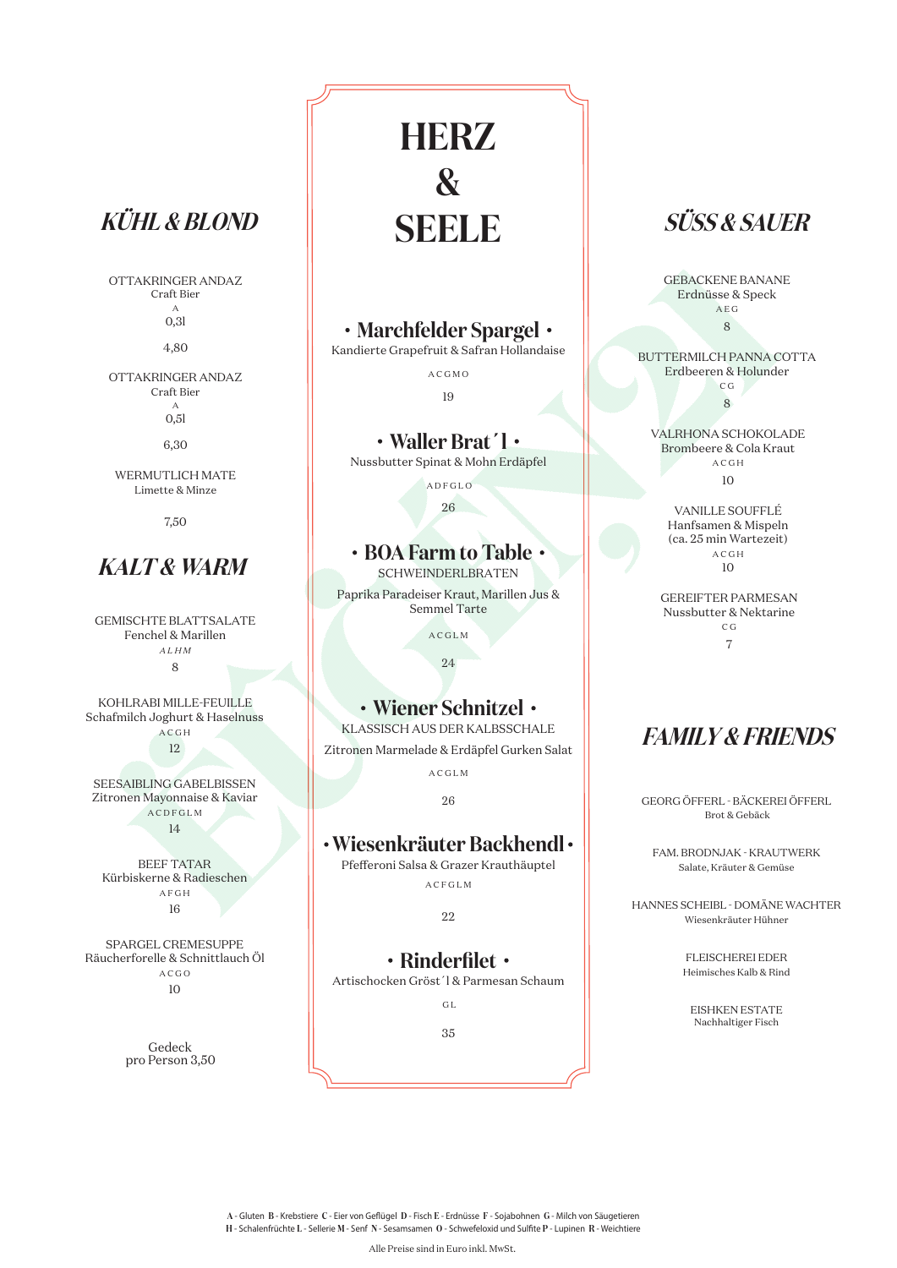GEMISCHTE BLATTSALATE Fenchel & Marillen *A L H M* 8

KOHLRABI MILLE-FEUILLE Schafmilch Joghurt & Haselnuss A C G H 12

SEESAIBLING GABELBISSEN Zitronen Mayonnaise & Kaviar A C D F G L M 14

BEEF TATAR Kürbiskerne & Radieschen A F G H 16

SPARGEL CREMESUPPE

### **Marchfelder Spargel**

Kandierte Grapefruit & Safran Hollandaise

A C G M O

19

#### **Waller Brat´l**

Nussbutter Spinat & Mohn Erdäpfel

**ADFGLO** 

26

## **• BOA Farm to Table •**

SCHWEINDERLBRATEN

Paprika Paradeiser Kraut, Marillen Jus & Semmel Tarte

A C G L M



24

## **Wiener Schnitzel**

KLASSISCH AUS DER KALBSSCHALE Zitronen Marmelade & Erdäpfel Gurken Salat

A C G L M

26

## **Wiesenkräuter Backhendl**

Pfefferoni Salsa & Grazer Krauthäuptel

A C F G L M

22

**HERZ & SEELE**

**A** - Gluten **B** - Krebstiere **C** - Eier von Geflügel **D** - Fisch **E** - Erdnüsse **F** - Sojabohnen **G** - Milch von Säugetieren **H** - Schalenfrüchte **L** - Sellerie **M** - Senf **N** - Sesamsamen **O** - Schwefeloxid und Sulfite **P** - Lupinen **R** - Weichtiere

Alle Preise sind in Euro inkl. MwSt.

GEBACKENE BANANE Erdnüsse & Speck A E G 8

BUTTERMILCH PANNA COTTA Erdbeeren & Holunder C G 8

VALRHONA SCHOKOLADE Brombeere & Cola Kraut A C G H

10

VANILLE SOUFFLÉ Hanfsamen & Mispeln (ca. 25 min Wartezeit) A C G H 10

GEREIFTER PARMESAN Nussbutter & Nektarine C G 7

GEORG ÖFFERL - BÄCKEREI ÖFFERL Brot & Gebäck

FAM. BRODNJAK - KRAUTWERK Salate, Kräuter & Gemüse

HANNES SCHEIBL - DOMÄNE WACHTER Wiesenkräuter Hühner

FLEISCHEREI EDER

Heimisches Kalb & Rind

EISHKEN ESTATE Nachhaltiger Fisch

OTTAKRINGER ANDAZ Craft Bier A 0,3l

4,80

#### OTTAKRINGER ANDAZ Craft Bier A 0,5l

6,30

WERMUTLICH MATE Limette & Minze

7,50

# **KALT & WARM**

# **SÜSS & SAUER**

# **FAMILY & FRIENDS**

# **KÜHL & BLOND**